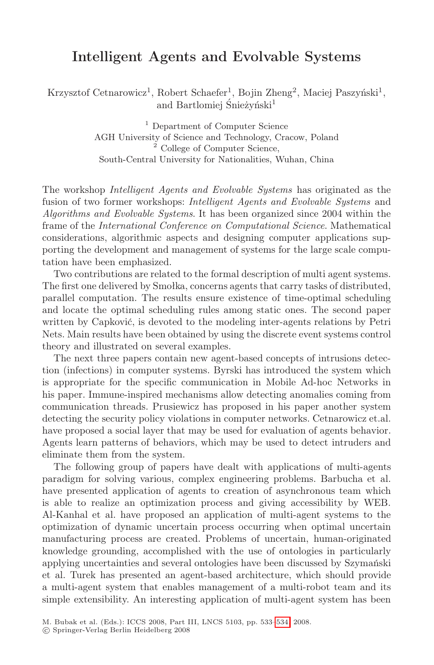## Intelligent Agents and Evolvable Systems

Krzysztof Cetnarowicz<sup>1</sup>, Robert Schaefer<sup>1</sup>, Bojin Zheng<sup>2</sup>, Maciej Paszyński<sup>1</sup>, and Bartlomiej Śnieżyński<sup>1</sup>

> <sup>1</sup> Department of Computer Science AGH University of Science and Technology, Cracow, Poland <sup>2</sup> College of Computer Science, South-Central University for Nationalities, Wuhan, China

The workshop *Intelligent Agents and Evolvable Systems* has originated as the fusion of two former workshops: *Intelligent Agents and Evolvable Systems* and *Algorithms and Evolvable Systems*. It has been organized since 2004 within the frame of the *International Conference on Computational Science*. Mathematical considerations, algorithmic aspects and designing computer applications supporting the development and management of systems for the large scale computation have been emphasized.

Two contributions are related to the formal description of multi agent systems. The first one delivered by Smołka, concerns agents that carry tasks of distributed, parallel computation. The results ensure existence of time-optimal scheduling and locate the optimal scheduling rules among static ones. The second paper written by Capković, is devoted to the modeling inter-agents relations by Petri Nets. Main results have been obtained by using the discrete event systems control theory and illustrated on several examples.

The next three papers contain new agent-based concepts of intrusions detection (infections) in computer systems. Byrski has introduced the system which is appropriate for the specific communication in Mobile Ad-hoc Networks in his paper. Immune-inspired mechanisms allow detecting anomalies coming from communication threads. Prusiewicz has proposed in his paper another system detecting the security policy violations in computer networks. Cetnarowicz et.al. have proposed a social layer that may be used for evaluation of agents behavior. Agents learn patterns of behaviors, which may be used to detect intruders and eliminate them from the system.

The following group of papers have dealt with applications of multi-agents paradigm for solving various, complex engineering problems. Barbucha et al. have presented application of agents to creation of asynchronous team which is able to realize an optimization process and giving accessibility by WEB. Al-Kanhal et al. have proposed an application of multi-agent systems to the optimization of dynamic uncerta[in p](#page-1-0)rocess occurring when optimal uncertain manufacturing process are created. Problems of uncertain, human-originated knowledge grounding, accomplished with the use of ontologies in particularly applying uncertainties and several ontologies have been discussed by Szymański et al. Turek has presented an agent-based architecture, which should provide a multi-agent system that enables management of a multi-robot team and its simple extensibility. An interesting application of multi-agent system has been

M. Bubak et al. (Eds.): ICCS 2008, Part III, LNCS 5103, pp. 533–534, 2008.

<sup>-</sup>c Springer-Verlag Berlin Heidelberg 2008